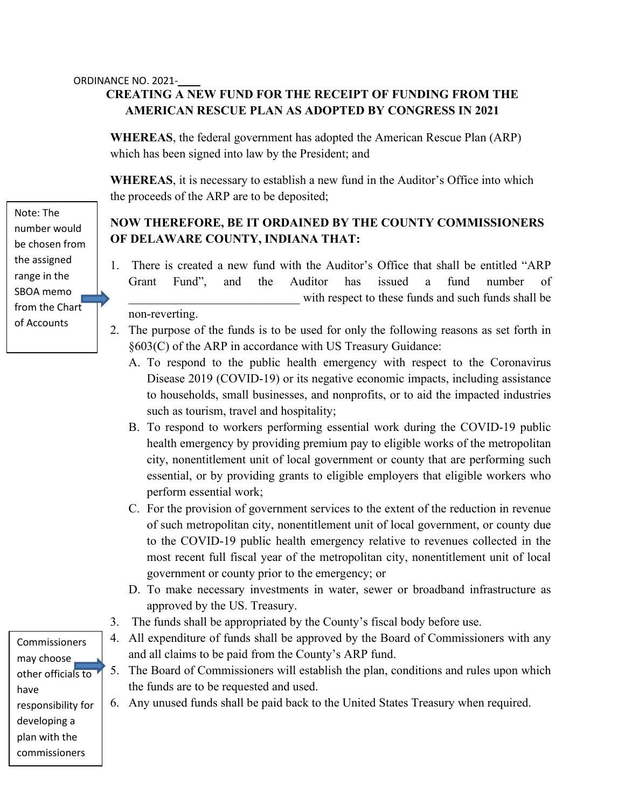## **CREATING A NEW FUND FOR THE RECEIPT OF FUNDING FROM THE AMERICAN RESCUE PLAN AS ADOPTED BY CONGRESS IN 2021**

**WHEREAS**, the federal government has adopted the American Rescue Plan (ARP) which has been signed into law by the President; and

**WHEREAS**, it is necessary to establish a new fund in the Auditor's Office into which the proceeds of the ARP are to be deposited;

## **NOW THEREFORE, BE IT ORDAINED BY THE COUNTY COMMISSIONERS OF DELAWARE COUNTY, INDIANA THAT:**

- 1. There is created a new fund with the Auditor's Office that shall be entitled "ARP Grant Fund", and the Auditor has issued a fund number of with respect to these funds and such funds shall be non-reverting.
- 2. The purpose of the funds is to be used for only the following reasons as set forth in §603(C) of the ARP in accordance with US Treasury Guidance:
	- A. To respond to the public health emergency with respect to the Coronavirus Disease 2019 (COVID-19) or its negative economic impacts, including assistance to households, small businesses, and nonprofits, or to aid the impacted industries such as tourism, travel and hospitality;
	- B. To respond to workers performing essential work during the COVID-19 public health emergency by providing premium pay to eligible works of the metropolitan city, nonentitlement unit of local government or county that are performing such essential, or by providing grants to eligible employers that eligible workers who perform essential work;
	- C. For the provision of government services to the extent of the reduction in revenue of such metropolitan city, nonentitlement unit of local government, or county due to the COVID-19 public health emergency relative to revenues collected in the most recent full fiscal year of the metropolitan city, nonentitlement unit of local government or county prior to the emergency; or
	- D. To make necessary investments in water, sewer or broadband infrastructure as approved by the US. Treasury.
- 3. The funds shall be appropriated by the County's fiscal body before use.
- 4. All expenditure of funds shall be approved by the Board of Commissioners with any and all claims to be paid from the County's ARP fund.
- 5. The Board of Commissioners will establish the plan, conditions and rules upon which the funds are to be requested and used.
- 6. Any unused funds shall be paid back to the United States Treasury when required.

Note: The number would be chosen from the assigned range in the SBOA memo from the Chart of Accounts

Commissioners may choose other officials to have responsibility for developing a plan with the commissioners